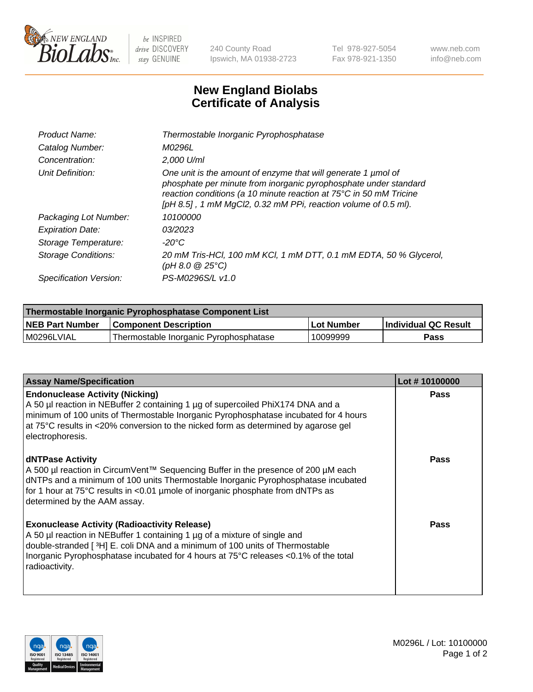

 $be$  INSPIRED drive DISCOVERY stay GENUINE

240 County Road Ipswich, MA 01938-2723 Tel 978-927-5054 Fax 978-921-1350 www.neb.com info@neb.com

## **New England Biolabs Certificate of Analysis**

| Product Name:              | Thermostable Inorganic Pyrophosphatase                                                                                                                                                                                                                                    |
|----------------------------|---------------------------------------------------------------------------------------------------------------------------------------------------------------------------------------------------------------------------------------------------------------------------|
| Catalog Number:            | <i>M0296L</i>                                                                                                                                                                                                                                                             |
| Concentration:             | $2.000$ U/ml                                                                                                                                                                                                                                                              |
| Unit Definition:           | One unit is the amount of enzyme that will generate 1 µmol of<br>phosphate per minute from inorganic pyrophosphate under standard<br>reaction conditions (a 10 minute reaction at 75°C in 50 mM Tricine<br>[pH 8.5], 1 mM MgCl2, 0.32 mM PPi, reaction volume of 0.5 ml). |
| Packaging Lot Number:      | 10100000                                                                                                                                                                                                                                                                  |
| <b>Expiration Date:</b>    | 03/2023                                                                                                                                                                                                                                                                   |
| Storage Temperature:       | $-20^{\circ}$ C                                                                                                                                                                                                                                                           |
| <b>Storage Conditions:</b> | 20 mM Tris-HCl, 100 mM KCl, 1 mM DTT, 0.1 mM EDTA, 50 % Glycerol,<br>(pH 8.0 $@25°C$ )                                                                                                                                                                                    |
| Specification Version:     | PS-M0296S/L v1.0                                                                                                                                                                                                                                                          |

| Thermostable Inorganic Pyrophosphatase Component List |                                        |              |                      |  |
|-------------------------------------------------------|----------------------------------------|--------------|----------------------|--|
| <b>NEB Part Number</b>                                | <b>Component Description</b>           | l Lot Number | Individual QC Result |  |
| l M0296LVIAL                                          | Thermostable Inorganic Pyrophosphatase | 10099999     | Pass                 |  |

| <b>Assay Name/Specification</b>                                                                                                                                                                                                                                                                                             | Lot #10100000 |
|-----------------------------------------------------------------------------------------------------------------------------------------------------------------------------------------------------------------------------------------------------------------------------------------------------------------------------|---------------|
| <b>Endonuclease Activity (Nicking)</b><br>A 50 µl reaction in NEBuffer 2 containing 1 µg of supercoiled PhiX174 DNA and a<br>minimum of 100 units of Thermostable Inorganic Pyrophosphatase incubated for 4 hours<br>at 75°C results in <20% conversion to the nicked form as determined by agarose gel<br>electrophoresis. | <b>Pass</b>   |
| <b>dNTPase Activity</b><br>A 500 µl reaction in CircumVent™ Sequencing Buffer in the presence of 200 µM each<br>dNTPs and a minimum of 100 units Thermostable Inorganic Pyrophosphatase incubated<br>for 1 hour at 75°C results in <0.01 µmole of inorganic phosphate from dNTPs as<br>determined by the AAM assay.         | <b>Pass</b>   |
| <b>Exonuclease Activity (Radioactivity Release)</b><br>A 50 µl reaction in NEBuffer 1 containing 1 µg of a mixture of single and<br>double-stranded [3H] E. coli DNA and a minimum of 100 units of Thermostable<br>Inorganic Pyrophosphatase incubated for 4 hours at 75°C releases <0.1% of the total<br>radioactivity.    | Pass          |